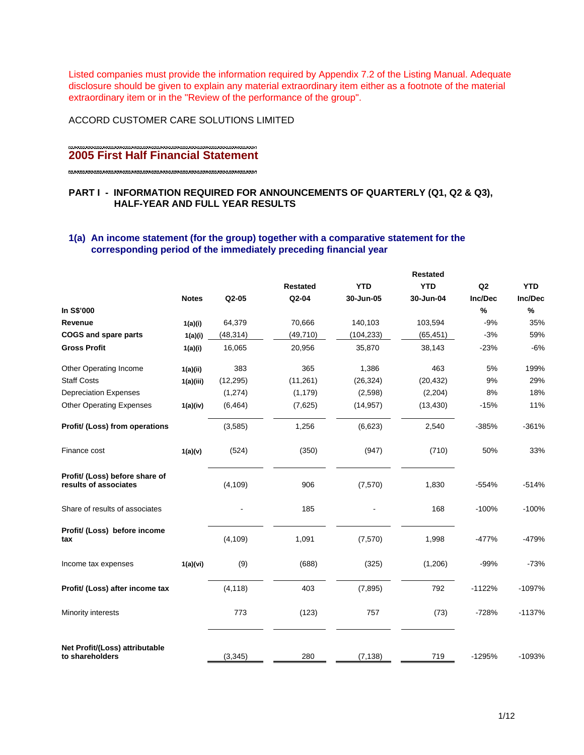Listed companies must provide the information required by Appendix 7.2 of the Listing Manual. Adequate disclosure should be given to explain any material extraordinary item either as a footnote of the material extraordinary item or in the "Review of the performance of the group".

ACCORD CUSTOMER CARE SOLUTIONS LIMITED

# **2005 First Half Financial Statement**

# **PART I - INFORMATION REQUIRED FOR ANNOUNCEMENTS OF QUARTERLY (Q1, Q2 & Q3), HALF-YEAR AND FULL YEAR RESULTS**

# **1(a) An income statement (for the group) together with a comparative statement for the corresponding period of the immediately preceding financial year**

|                                                         |              |           |                 | <b>Restated</b> |            |          |            |
|---------------------------------------------------------|--------------|-----------|-----------------|-----------------|------------|----------|------------|
|                                                         |              |           | <b>Restated</b> | <b>YTD</b>      | <b>YTD</b> | Q2       | <b>YTD</b> |
|                                                         | <b>Notes</b> | Q2-05     | Q2-04           | 30-Jun-05       | 30-Jun-04  | Inc/Dec  | Inc/Dec    |
| In S\$'000                                              |              |           |                 |                 |            | $\%$     | $\%$       |
| Revenue                                                 | 1(a)(i)      | 64,379    | 70,666          | 140,103         | 103,594    | $-9%$    | 35%        |
| <b>COGS and spare parts</b>                             | 1(a)(i)      | (48, 314) | (49, 710)       | (104, 233)      | (65, 451)  | $-3%$    | 59%        |
| <b>Gross Profit</b>                                     | 1(a)(i)      | 16,065    | 20,956          | 35,870          | 38,143     | $-23%$   | $-6%$      |
| Other Operating Income                                  | 1(a)(ii)     | 383       | 365             | 1,386           | 463        | 5%       | 199%       |
| <b>Staff Costs</b>                                      | 1(a)(iii)    | (12, 295) | (11, 261)       | (26, 324)       | (20, 432)  | 9%       | 29%        |
| <b>Depreciation Expenses</b>                            |              | (1,274)   | (1, 179)        | (2,598)         | (2,204)    | 8%       | 18%        |
| <b>Other Operating Expenses</b>                         | 1(a)(iv)     | (6, 464)  | (7,625)         | (14, 957)       | (13, 430)  | $-15%$   | 11%        |
| Profit/ (Loss) from operations                          |              | (3, 585)  | 1,256           | (6,623)         | 2,540      | $-385%$  | $-361%$    |
| Finance cost                                            | 1(a)(v)      | (524)     | (350)           | (947)           | (710)      | 50%      | 33%        |
| Profit/ (Loss) before share of<br>results of associates |              | (4, 109)  | 906             | (7,570)         | 1,830      | $-554%$  | $-514%$    |
| Share of results of associates                          |              |           | 185             |                 | 168        | $-100%$  | $-100%$    |
| Profit/ (Loss) before income<br>tax                     |              | (4, 109)  | 1,091           | (7,570)         | 1,998      | $-477%$  | -479%      |
| Income tax expenses                                     | 1(a)(vi)     | (9)       | (688)           | (325)           | (1,206)    | $-99%$   | $-73%$     |
| Profit/ (Loss) after income tax                         |              | (4, 118)  | 403             | (7, 895)        | 792        | $-1122%$ | $-1097%$   |
| Minority interests                                      |              | 773       | (123)           | 757             | (73)       | $-728%$  | $-1137%$   |
| Net Profit/(Loss) attributable<br>to shareholders       |              | (3, 345)  | 280             | (7, 138)        | 719        | $-1295%$ | $-1093%$   |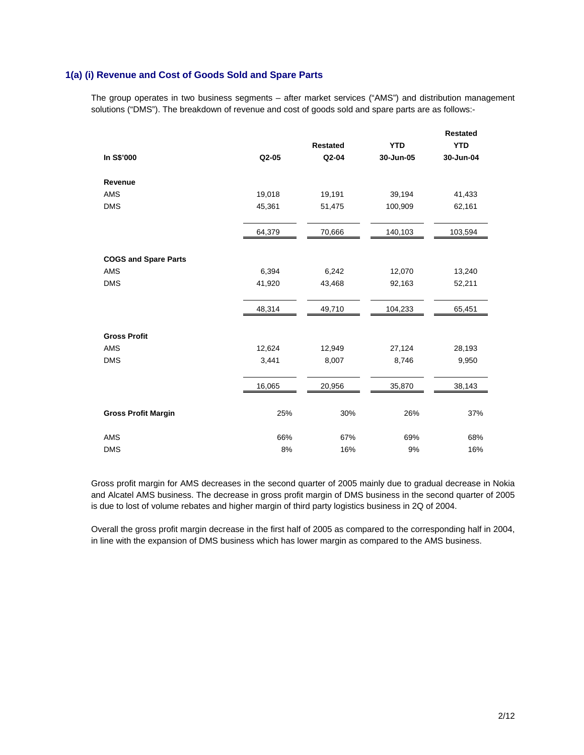# **1(a) (i) Revenue and Cost of Goods Sold and Spare Parts**

The group operates in two business segments – after market services ("AMS") and distribution management solutions ("DMS"). The breakdown of revenue and cost of goods sold and spare parts are as follows:-

|                             |        | <b>Restated</b> | <b>YTD</b> | Restated<br><b>YTD</b> |
|-----------------------------|--------|-----------------|------------|------------------------|
| In S\$'000                  | Q2-05  | Q2-04           | 30-Jun-05  | 30-Jun-04              |
| Revenue                     |        |                 |            |                        |
| AMS                         | 19,018 | 19,191          | 39,194     | 41,433                 |
| <b>DMS</b>                  | 45,361 | 51,475          | 100,909    | 62,161                 |
|                             | 64,379 | 70,666          | 140,103    | 103,594                |
| <b>COGS and Spare Parts</b> |        |                 |            |                        |
| AMS                         | 6,394  | 6,242           | 12,070     | 13,240                 |
| <b>DMS</b>                  | 41,920 | 43,468          | 92,163     | 52,211                 |
|                             | 48,314 | 49,710          | 104,233    | 65,451                 |
| <b>Gross Profit</b>         |        |                 |            |                        |
| <b>AMS</b>                  | 12,624 | 12,949          | 27,124     | 28,193                 |
| <b>DMS</b>                  | 3,441  | 8,007           | 8,746      | 9,950                  |
|                             | 16,065 | 20,956          | 35,870     | 38,143                 |
| <b>Gross Profit Margin</b>  | 25%    | 30%             | 26%        | 37%                    |
| <b>AMS</b>                  | 66%    | 67%             | 69%        | 68%                    |
| <b>DMS</b>                  | 8%     | 16%             | 9%         | 16%                    |

Gross profit margin for AMS decreases in the second quarter of 2005 mainly due to gradual decrease in Nokia and Alcatel AMS business. The decrease in gross profit margin of DMS business in the second quarter of 2005 is due to lost of volume rebates and higher margin of third party logistics business in 2Q of 2004.

Overall the gross profit margin decrease in the first half of 2005 as compared to the corresponding half in 2004, in line with the expansion of DMS business which has lower margin as compared to the AMS business.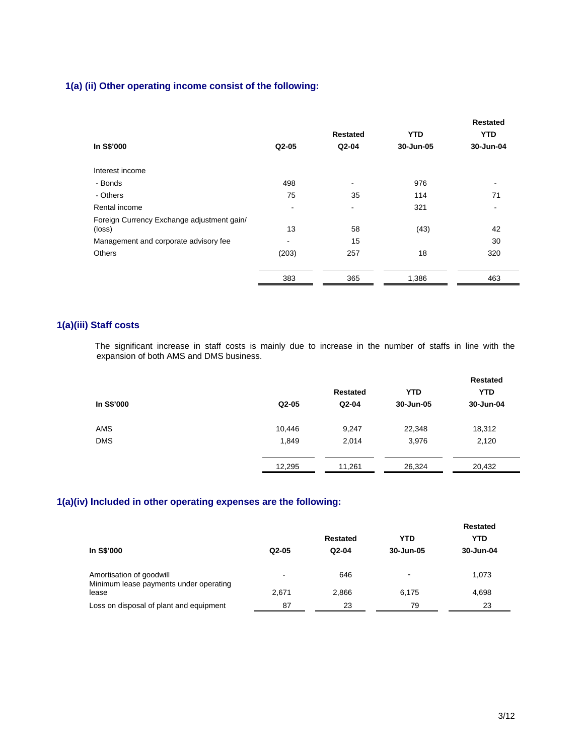# **1(a) (ii) Other operating income consist of the following:**

|                                                      |       | <b>Restated</b>          | <b>YTD</b> | <b>Restated</b><br><b>YTD</b> |
|------------------------------------------------------|-------|--------------------------|------------|-------------------------------|
| In S\$'000                                           | Q2-05 | Q2-04                    | 30-Jun-05  | 30-Jun-04                     |
| Interest income                                      |       |                          |            |                               |
| - Bonds                                              | 498   | $\overline{\phantom{a}}$ | 976        | $\overline{\phantom{a}}$      |
| - Others                                             | 75    | 35                       | 114        | 71                            |
| Rental income                                        |       | ۰                        | 321        | $\overline{\phantom{a}}$      |
| Foreign Currency Exchange adjustment gain/<br>(loss) | 13    | 58                       | (43)       | 42                            |
| Management and corporate advisory fee                |       | 15                       |            | 30                            |
| <b>Others</b>                                        | (203) | 257                      | 18         | 320                           |
|                                                      | 383   | 365                      | 1,386      | 463                           |

# **1(a)(iii) Staff costs**

The significant increase in staff costs is mainly due to increase in the number of staffs in line with the expansion of both AMS and DMS business.

| <b>Restated</b> | <b>YTD</b> | <b>YTD</b> |
|-----------------|------------|------------|
|                 |            |            |
|                 | 30-Jun-05  | 30-Jun-04  |
| 9,247           | 22,348     | 18,312     |
| 2,014           | 3,976      | 2,120      |
| 11,261          | 26,324     | 20,432     |
|                 | $Q2-04$    |            |

# **1(a)(iv) Included in other operating expenses are the following:**

| In S\$'000                                                                  | $Q2-05$    | Restated<br>Q2-04 | YTD<br>30-Jun-05 | Restated<br><b>YTD</b><br>30-Jun-04 |
|-----------------------------------------------------------------------------|------------|-------------------|------------------|-------------------------------------|
| Amortisation of goodwill<br>Minimum lease payments under operating<br>lease | -<br>2,671 | 646<br>2,866      | 6.175            | 1,073<br>4,698                      |
| Loss on disposal of plant and equipment                                     | 87         | 23                | 79               | 23                                  |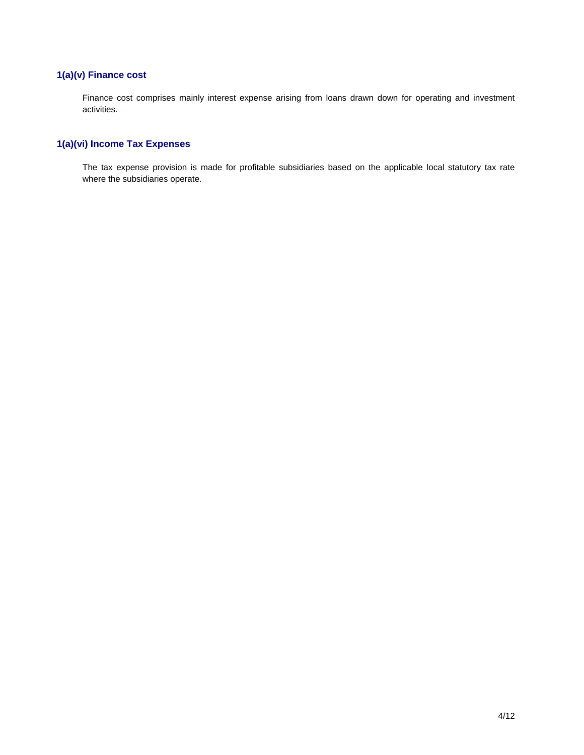# **1(a)(v) Finance cost**

Finance cost comprises mainly interest expense arising from loans drawn down for operating and investment activities.

# **1(a)(vi) Income Tax Expenses**

The tax expense provision is made for profitable subsidiaries based on the applicable local statutory tax rate where the subsidiaries operate.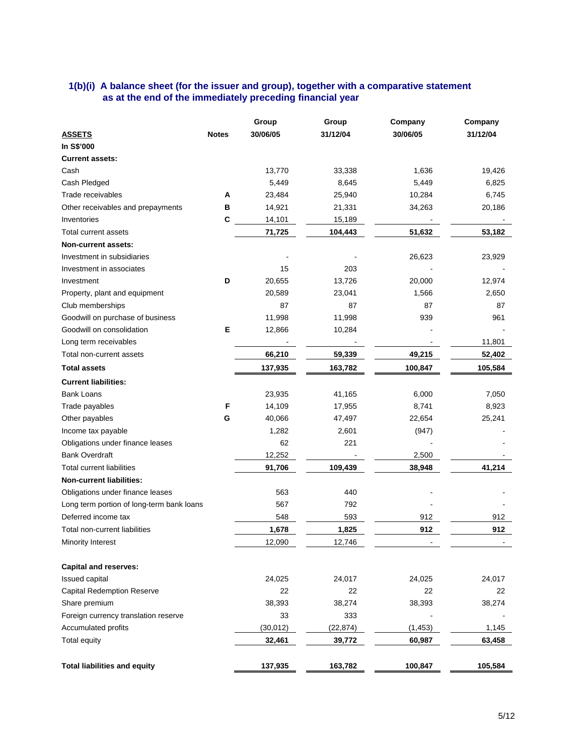# **1(b)(i) A balance sheet (for the issuer and group), together with a comparative statement as at the end of the immediately preceding financial year**

|                                                             |              | Group     | Group        | Company  | Company  |
|-------------------------------------------------------------|--------------|-----------|--------------|----------|----------|
| <b>ASSETS</b>                                               | <b>Notes</b> | 30/06/05  | 31/12/04     | 30/06/05 | 31/12/04 |
| In S\$'000                                                  |              |           |              |          |          |
| <b>Current assets:</b>                                      |              |           |              |          |          |
| Cash                                                        |              | 13,770    | 33,338       | 1,636    | 19,426   |
| Cash Pledged                                                |              | 5,449     | 8,645        | 5,449    | 6,825    |
| Trade receivables                                           | Α            | 23,484    | 25,940       | 10,284   | 6,745    |
| Other receivables and prepayments                           | в            | 14,921    | 21,331       | 34,263   | 20,186   |
| Inventories                                                 | C            | 14,101    | 15,189       |          |          |
| Total current assets                                        |              | 71,725    | 104,443      | 51,632   | 53,182   |
| <b>Non-current assets:</b>                                  |              |           |              |          |          |
| Investment in subsidiaries                                  |              |           |              | 26,623   | 23,929   |
| Investment in associates                                    |              | 15        | 203          |          |          |
| Investment                                                  | D            | 20,655    | 13,726       | 20,000   | 12,974   |
| Property, plant and equipment                               |              | 20,589    | 23,041       | 1,566    | 2,650    |
| Club memberships                                            |              | 87        | 87           | 87       | 87       |
| Goodwill on purchase of business                            |              | 11,998    | 11,998       | 939      | 961      |
| Goodwill on consolidation                                   | E            | 12,866    | 10,284       |          |          |
| Long term receivables                                       |              |           |              |          | 11,801   |
| Total non-current assets                                    |              | 66,210    | 59,339       | 49,215   | 52,402   |
| <b>Total assets</b>                                         |              | 137,935   | 163,782      | 100,847  | 105,584  |
| <b>Current liabilities:</b>                                 |              |           |              |          |          |
| <b>Bank Loans</b>                                           |              | 23,935    | 41,165       | 6,000    | 7,050    |
| Trade payables                                              | F            | 14,109    | 17,955       | 8,741    | 8,923    |
| Other payables                                              | G            | 40,066    | 47,497       | 22,654   | 25,241   |
| Income tax payable                                          |              | 1,282     | 2,601        | (947)    |          |
| Obligations under finance leases                            |              | 62        | 221          |          |          |
| <b>Bank Overdraft</b>                                       |              | 12,252    |              | 2,500    |          |
| <b>Total current liabilities</b>                            |              | 91,706    | 109,439      | 38,948   | 41,214   |
| <b>Non-current liabilities:</b>                             |              |           |              |          |          |
| Obligations under finance leases                            |              | 563       | 440          |          |          |
| Long term portion of long-term bank loans                   |              | 567       | 792          |          |          |
| Deferred income tax                                         |              | 548       | 593          | 912      | 912      |
| Total non-current liabilities                               |              | 1,678     | 1,825        | 912      | 912      |
| Minority Interest                                           |              | 12,090    | 12,746       |          |          |
| <b>Capital and reserves:</b>                                |              |           |              |          |          |
| Issued capital                                              |              | 24,025    | 24,017       | 24,025   | 24,017   |
|                                                             |              | 22        |              | 22       |          |
| <b>Capital Redemption Reserve</b>                           |              | 38,393    | 22<br>38,274 |          | 22       |
| Share premium                                               |              | 33        | 333          | 38,393   | 38,274   |
| Foreign currency translation reserve<br>Accumulated profits |              |           | (22, 874)    |          |          |
|                                                             |              | (30, 012) |              | (1, 453) | 1,145    |
| Total equity                                                |              | 32,461    | 39,772       | 60,987   | 63,458   |
| <b>Total liabilities and equity</b>                         |              | 137,935   | 163,782      | 100,847  | 105,584  |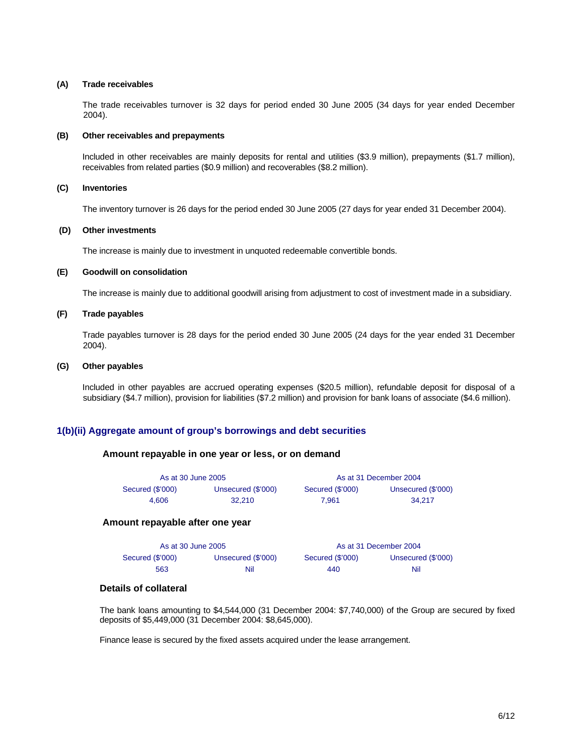#### **(A) Trade receivables**

The trade receivables turnover is 32 days for period ended 30 June 2005 (34 days for year ended December 2004).

#### **(B) Other receivables and prepayments**

Included in other receivables are mainly deposits for rental and utilities (\$3.9 million), prepayments (\$1.7 million), receivables from related parties (\$0.9 million) and recoverables (\$8.2 million).

#### **(C) Inventories**

The inventory turnover is 26 days for the period ended 30 June 2005 (27 days for year ended 31 December 2004).

## **(D) Other investments**

The increase is mainly due to investment in unquoted redeemable convertible bonds.

#### **(E) Goodwill on consolidation**

The increase is mainly due to additional goodwill arising from adjustment to cost of investment made in a subsidiary.

#### **(F) Trade payables**

Trade payables turnover is 28 days for the period ended 30 June 2005 (24 days for the year ended 31 December 2004).

#### **(G) Other payables**

Included in other payables are accrued operating expenses (\$20.5 million), refundable deposit for disposal of a subsidiary (\$4.7 million), provision for liabilities (\$7.2 million) and provision for bank loans of associate (\$4.6 million).

#### **1(b)(ii) Aggregate amount of group's borrowings and debt securities**

#### **Amount repayable in one year or less, or on demand**

| As at 30 June 2005 |                    | As at 31 December 2004 |                    |  |  |
|--------------------|--------------------|------------------------|--------------------|--|--|
| Secured (\$'000)   | Unsecured (\$'000) | Secured (\$'000)       | Unsecured (\$'000) |  |  |
| 4.606              | 32.210             | 7.961                  | 34.217             |  |  |

#### **Amount repayable after one year**

| As at 30 June 2005 |                    | As at 31 December 2004 |                    |  |  |
|--------------------|--------------------|------------------------|--------------------|--|--|
| Secured (\$'000)   | Unsecured (\$'000) | Secured (\$'000)       | Unsecured (\$'000) |  |  |
| 563                | Nil                | 440                    | Nil                |  |  |

## **Details of collateral**

The bank loans amounting to \$4,544,000 (31 December 2004: \$7,740,000) of the Group are secured by fixed deposits of \$5,449,000 (31 December 2004: \$8,645,000).

Finance lease is secured by the fixed assets acquired under the lease arrangement.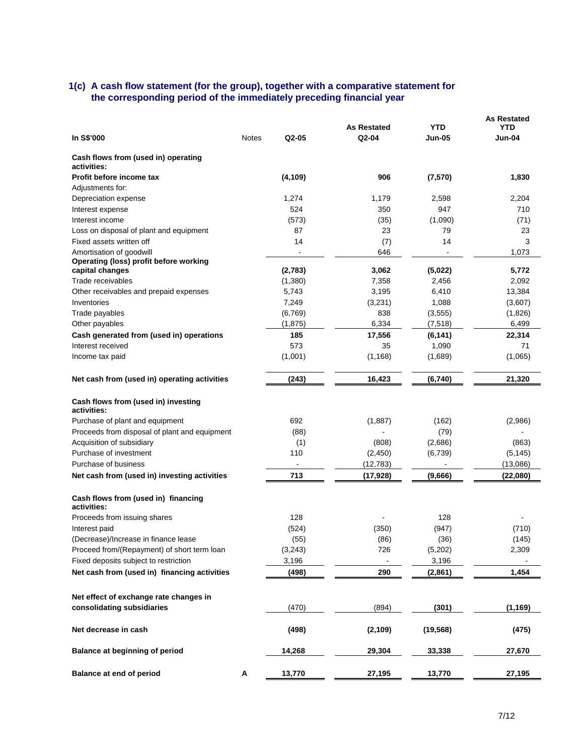## **1(c) A cash flow statement (for the group), together with a comparative statement for the corresponding period of the immediately preceding financial year**

| In S\$'000<br>Q2-05<br>Q2-04<br>Jun-04<br><b>Notes</b><br>Jun-05<br>Cash flows from (used in) operating<br>activities:<br>(4, 109)<br>906<br>Profit before income tax<br>(7,570)<br>1,830<br>Adjustments for:<br>2,204<br>Depreciation expense<br>1,274<br>1,179<br>2,598<br>524<br>350<br>947<br>710<br>Interest expense<br>(573)<br>(35)<br>(1,090)<br>(71)<br>Interest income<br>87<br>23<br>79<br>23<br>Loss on disposal of plant and equipment<br>Fixed assets written off<br>14<br>14<br>3<br>(7)<br>Amortisation of goodwill<br>646<br>1,073<br>Operating (loss) profit before working<br>(5,022)<br>capital changes<br>(2,783)<br>3,062<br>5,772<br>Trade receivables<br>(1,380)<br>7,358<br>2,456<br>2,092<br>3,195<br>6,410<br>Other receivables and prepaid expenses<br>5,743<br>13,384<br>Inventories<br>7,249<br>(3,231)<br>1,088<br>(3,607)<br>838<br>(1,826)<br>Trade payables<br>(6, 769)<br>(3, 555) |  |                    |     | <b>As Restated</b> |
|-----------------------------------------------------------------------------------------------------------------------------------------------------------------------------------------------------------------------------------------------------------------------------------------------------------------------------------------------------------------------------------------------------------------------------------------------------------------------------------------------------------------------------------------------------------------------------------------------------------------------------------------------------------------------------------------------------------------------------------------------------------------------------------------------------------------------------------------------------------------------------------------------------------------------|--|--------------------|-----|--------------------|
|                                                                                                                                                                                                                                                                                                                                                                                                                                                                                                                                                                                                                                                                                                                                                                                                                                                                                                                       |  | <b>As Restated</b> | YTD | <b>YTD</b>         |
|                                                                                                                                                                                                                                                                                                                                                                                                                                                                                                                                                                                                                                                                                                                                                                                                                                                                                                                       |  |                    |     |                    |
|                                                                                                                                                                                                                                                                                                                                                                                                                                                                                                                                                                                                                                                                                                                                                                                                                                                                                                                       |  |                    |     |                    |
|                                                                                                                                                                                                                                                                                                                                                                                                                                                                                                                                                                                                                                                                                                                                                                                                                                                                                                                       |  |                    |     |                    |
|                                                                                                                                                                                                                                                                                                                                                                                                                                                                                                                                                                                                                                                                                                                                                                                                                                                                                                                       |  |                    |     |                    |
|                                                                                                                                                                                                                                                                                                                                                                                                                                                                                                                                                                                                                                                                                                                                                                                                                                                                                                                       |  |                    |     |                    |
|                                                                                                                                                                                                                                                                                                                                                                                                                                                                                                                                                                                                                                                                                                                                                                                                                                                                                                                       |  |                    |     |                    |
|                                                                                                                                                                                                                                                                                                                                                                                                                                                                                                                                                                                                                                                                                                                                                                                                                                                                                                                       |  |                    |     |                    |
|                                                                                                                                                                                                                                                                                                                                                                                                                                                                                                                                                                                                                                                                                                                                                                                                                                                                                                                       |  |                    |     |                    |
|                                                                                                                                                                                                                                                                                                                                                                                                                                                                                                                                                                                                                                                                                                                                                                                                                                                                                                                       |  |                    |     |                    |
|                                                                                                                                                                                                                                                                                                                                                                                                                                                                                                                                                                                                                                                                                                                                                                                                                                                                                                                       |  |                    |     |                    |
|                                                                                                                                                                                                                                                                                                                                                                                                                                                                                                                                                                                                                                                                                                                                                                                                                                                                                                                       |  |                    |     |                    |
|                                                                                                                                                                                                                                                                                                                                                                                                                                                                                                                                                                                                                                                                                                                                                                                                                                                                                                                       |  |                    |     |                    |
|                                                                                                                                                                                                                                                                                                                                                                                                                                                                                                                                                                                                                                                                                                                                                                                                                                                                                                                       |  |                    |     |                    |
|                                                                                                                                                                                                                                                                                                                                                                                                                                                                                                                                                                                                                                                                                                                                                                                                                                                                                                                       |  |                    |     |                    |
|                                                                                                                                                                                                                                                                                                                                                                                                                                                                                                                                                                                                                                                                                                                                                                                                                                                                                                                       |  |                    |     |                    |
| (7, 518)                                                                                                                                                                                                                                                                                                                                                                                                                                                                                                                                                                                                                                                                                                                                                                                                                                                                                                              |  |                    |     |                    |
| (1,875)<br>6,334<br>6,499<br>Other payables                                                                                                                                                                                                                                                                                                                                                                                                                                                                                                                                                                                                                                                                                                                                                                                                                                                                           |  |                    |     |                    |
| 185<br>17,556<br>Cash generated from (used in) operations<br>(6, 141)<br>22,314                                                                                                                                                                                                                                                                                                                                                                                                                                                                                                                                                                                                                                                                                                                                                                                                                                       |  |                    |     |                    |
| Interest received<br>573<br>35<br>1,090<br>71                                                                                                                                                                                                                                                                                                                                                                                                                                                                                                                                                                                                                                                                                                                                                                                                                                                                         |  |                    |     |                    |
| (1, 168)<br>(1,065)<br>Income tax paid<br>(1,001)<br>(1,689)                                                                                                                                                                                                                                                                                                                                                                                                                                                                                                                                                                                                                                                                                                                                                                                                                                                          |  |                    |     |                    |
| (243)<br>21,320<br>Net cash from (used in) operating activities<br>16,423<br>(6,740)                                                                                                                                                                                                                                                                                                                                                                                                                                                                                                                                                                                                                                                                                                                                                                                                                                  |  |                    |     |                    |
| Cash flows from (used in) investing                                                                                                                                                                                                                                                                                                                                                                                                                                                                                                                                                                                                                                                                                                                                                                                                                                                                                   |  |                    |     |                    |
| activities:                                                                                                                                                                                                                                                                                                                                                                                                                                                                                                                                                                                                                                                                                                                                                                                                                                                                                                           |  |                    |     |                    |
| 692<br>Purchase of plant and equipment<br>(1,887)<br>(162)<br>(2,986)                                                                                                                                                                                                                                                                                                                                                                                                                                                                                                                                                                                                                                                                                                                                                                                                                                                 |  |                    |     |                    |
| Proceeds from disposal of plant and equipment<br>(79)<br>(88)                                                                                                                                                                                                                                                                                                                                                                                                                                                                                                                                                                                                                                                                                                                                                                                                                                                         |  |                    |     |                    |
| Acquisition of subsidiary<br>(2,686)<br>(863)<br>(1)<br>(808)                                                                                                                                                                                                                                                                                                                                                                                                                                                                                                                                                                                                                                                                                                                                                                                                                                                         |  |                    |     |                    |
| Purchase of investment<br>110<br>(2, 450)<br>(6,739)<br>(5, 145)                                                                                                                                                                                                                                                                                                                                                                                                                                                                                                                                                                                                                                                                                                                                                                                                                                                      |  |                    |     |                    |
| Purchase of business<br>(12, 783)<br>(13,086)                                                                                                                                                                                                                                                                                                                                                                                                                                                                                                                                                                                                                                                                                                                                                                                                                                                                         |  |                    |     |                    |
| 713<br>(22,080)<br>Net cash from (used in) investing activities<br>(17, 928)<br>(9,666)                                                                                                                                                                                                                                                                                                                                                                                                                                                                                                                                                                                                                                                                                                                                                                                                                               |  |                    |     |                    |
| Cash flows from (used in) financing<br>activities:                                                                                                                                                                                                                                                                                                                                                                                                                                                                                                                                                                                                                                                                                                                                                                                                                                                                    |  |                    |     |                    |
| 128<br>128<br>Proceeds from issuing shares                                                                                                                                                                                                                                                                                                                                                                                                                                                                                                                                                                                                                                                                                                                                                                                                                                                                            |  |                    |     |                    |
| (350)<br>(947)<br>(710)<br>Interest paid<br>(524)                                                                                                                                                                                                                                                                                                                                                                                                                                                                                                                                                                                                                                                                                                                                                                                                                                                                     |  |                    |     |                    |
| (55)<br>(86)<br>(36)<br>(145)<br>(Decrease)/Increase in finance lease                                                                                                                                                                                                                                                                                                                                                                                                                                                                                                                                                                                                                                                                                                                                                                                                                                                 |  |                    |     |                    |
| Proceed from/(Repayment) of short term loan<br>(3,243)<br>726<br>(5,202)<br>2,309                                                                                                                                                                                                                                                                                                                                                                                                                                                                                                                                                                                                                                                                                                                                                                                                                                     |  |                    |     |                    |
| Fixed deposits subject to restriction<br>3,196<br>3,196                                                                                                                                                                                                                                                                                                                                                                                                                                                                                                                                                                                                                                                                                                                                                                                                                                                               |  |                    |     |                    |
| Net cash from (used in) financing activities<br>290<br>1,454<br>(498)<br>(2,861)                                                                                                                                                                                                                                                                                                                                                                                                                                                                                                                                                                                                                                                                                                                                                                                                                                      |  |                    |     |                    |
|                                                                                                                                                                                                                                                                                                                                                                                                                                                                                                                                                                                                                                                                                                                                                                                                                                                                                                                       |  |                    |     |                    |
| Net effect of exchange rate changes in                                                                                                                                                                                                                                                                                                                                                                                                                                                                                                                                                                                                                                                                                                                                                                                                                                                                                |  |                    |     |                    |
| consolidating subsidiaries<br>(470)<br>(894)<br>(1, 169)<br>(301)                                                                                                                                                                                                                                                                                                                                                                                                                                                                                                                                                                                                                                                                                                                                                                                                                                                     |  |                    |     |                    |
|                                                                                                                                                                                                                                                                                                                                                                                                                                                                                                                                                                                                                                                                                                                                                                                                                                                                                                                       |  |                    |     |                    |
| Net decrease in cash<br>(498)<br>(2, 109)<br>(19, 568)<br>(475)                                                                                                                                                                                                                                                                                                                                                                                                                                                                                                                                                                                                                                                                                                                                                                                                                                                       |  |                    |     |                    |
| Balance at beginning of period<br>14,268<br>29,304<br>33,338<br>27,670                                                                                                                                                                                                                                                                                                                                                                                                                                                                                                                                                                                                                                                                                                                                                                                                                                                |  |                    |     |                    |
| Balance at end of period<br>Α<br>13,770<br>27,195<br>13,770<br>27,195                                                                                                                                                                                                                                                                                                                                                                                                                                                                                                                                                                                                                                                                                                                                                                                                                                                 |  |                    |     |                    |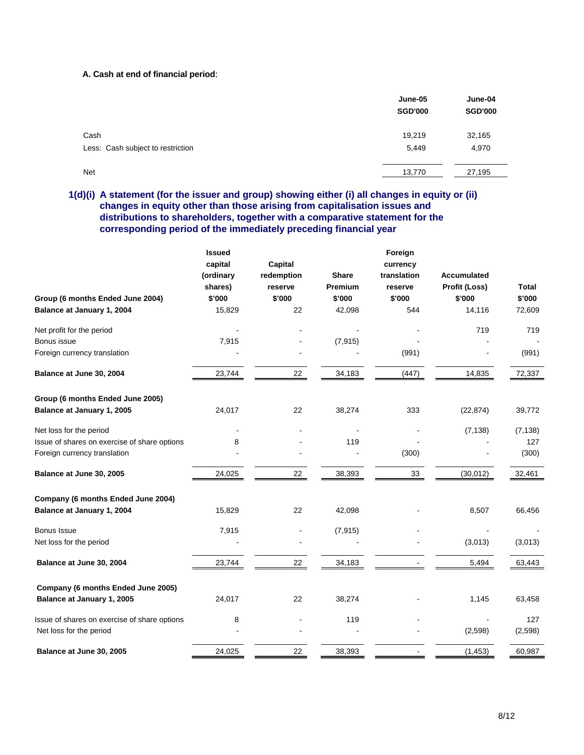#### **A. Cash at end of financial period**:

|                                   | June-05<br><b>SGD'000</b> | June-04<br><b>SGD'000</b> |
|-----------------------------------|---------------------------|---------------------------|
| Cash                              | 19,219                    | 32,165                    |
| Less: Cash subject to restriction | 5,449                     | 4,970                     |
| <b>Net</b>                        | 13,770                    | 27,195                    |

# **1(d)(i) A statement (for the issuer and group) showing either (i) all changes in equity or (ii) changes in equity other than those arising from capitalisation issues and distributions to shareholders, together with a comparative statement for the corresponding period of the immediately preceding financial year**

|                                              | <b>Issued</b> |            |              | Foreign     |                    |          |
|----------------------------------------------|---------------|------------|--------------|-------------|--------------------|----------|
|                                              | capital       | Capital    |              | currency    |                    |          |
|                                              | (ordinary     | redemption | <b>Share</b> | translation | <b>Accumulated</b> |          |
|                                              | shares)       | reserve    | Premium      | reserve     | Profit (Loss)      | Total    |
| Group (6 months Ended June 2004)             | \$'000        | \$'000     | \$'000       | \$'000      | \$'000             | \$'000   |
| Balance at January 1, 2004                   | 15,829        | 22         | 42,098       | 544         | 14,116             | 72,609   |
| Net profit for the period                    |               |            |              |             | 719                | 719      |
| Bonus issue                                  | 7,915         |            | (7, 915)     |             |                    |          |
| Foreign currency translation                 |               |            |              | (991)       |                    | (991)    |
| Balance at June 30, 2004                     | 23,744        | 22         | 34,183       | (447)       | 14,835             | 72,337   |
| Group (6 months Ended June 2005)             |               |            |              |             |                    |          |
| Balance at January 1, 2005                   | 24,017        | 22         | 38,274       | 333         | (22, 874)          | 39,772   |
| Net loss for the period                      |               |            |              |             | (7, 138)           | (7, 138) |
| Issue of shares on exercise of share options | 8             |            | 119          |             |                    | 127      |
| Foreign currency translation                 |               |            |              | (300)       |                    | (300)    |
| Balance at June 30, 2005                     | 24,025        | 22         | 38,393       | 33          | (30, 012)          | 32,461   |
| Company (6 months Ended June 2004)           |               |            |              |             |                    |          |
| Balance at January 1, 2004                   | 15,829        | 22         | 42,098       |             | 8,507              | 66,456   |
| <b>Bonus Issue</b>                           | 7,915         |            | (7, 915)     |             |                    |          |
| Net loss for the period                      |               |            |              |             | (3,013)            | (3,013)  |
| Balance at June 30, 2004                     | 23,744        | 22         | 34,183       |             | 5,494              | 63,443   |
| Company (6 months Ended June 2005)           |               |            |              |             |                    |          |
| Balance at January 1, 2005                   | 24,017        | 22         | 38,274       |             | 1,145              | 63,458   |
| Issue of shares on exercise of share options | 8             |            | 119          |             |                    | 127      |
| Net loss for the period                      |               |            |              |             | (2,598)            | (2,598)  |
| Balance at June 30, 2005                     | 24,025        | 22         | 38,393       |             | (1, 453)           | 60,987   |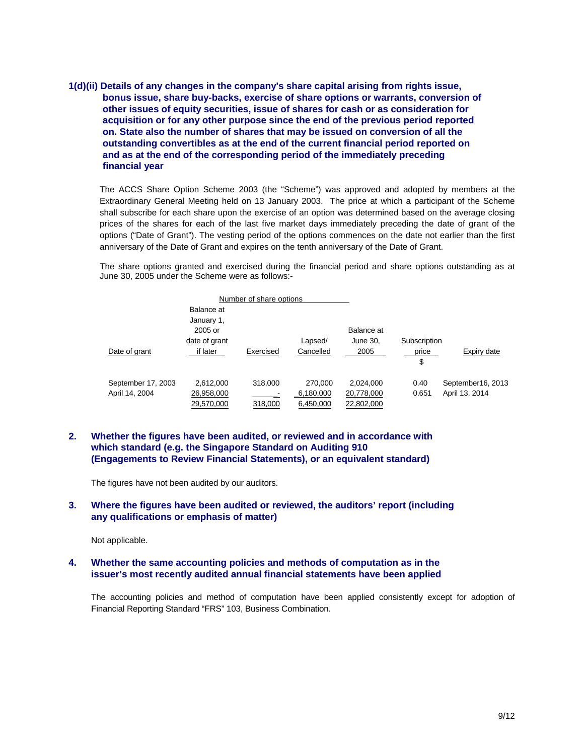**1(d)(ii) Details of any changes in the company's share capital arising from rights issue, bonus issue, share buy-backs, exercise of share options or warrants, conversion of other issues of equity securities, issue of shares for cash or as consideration for acquisition or for any other purpose since the end of the previous period reported on. State also the number of shares that may be issued on conversion of all the outstanding convertibles as at the end of the current financial period reported on and as at the end of the corresponding period of the immediately preceding financial year** 

The ACCS Share Option Scheme 2003 (the "Scheme") was approved and adopted by members at the Extraordinary General Meeting held on 13 January 2003. The price at which a participant of the Scheme shall subscribe for each share upon the exercise of an option was determined based on the average closing prices of the shares for each of the last five market days immediately preceding the date of grant of the options ("Date of Grant"). The vesting period of the options commences on the date not earlier than the first anniversary of the Date of Grant and expires on the tenth anniversary of the Date of Grant.

The share options granted and exercised during the financial period and share options outstanding as at June 30, 2005 under the Scheme were as follows:-

|               |                    |               | Number of share options |           |            |              |                   |
|---------------|--------------------|---------------|-------------------------|-----------|------------|--------------|-------------------|
|               |                    | Balance at    |                         |           |            |              |                   |
|               |                    | January 1,    |                         |           |            |              |                   |
|               |                    | 2005 or       |                         |           | Balance at |              |                   |
|               |                    | date of grant |                         | Lapsed/   | June 30,   | Subscription |                   |
| Date of grant |                    | if later      | Exercised               | Cancelled | 2005       | price        | Expiry date       |
|               |                    |               |                         |           |            | \$           |                   |
|               | September 17, 2003 | 2,612,000     | 318,000                 | 270,000   | 2,024,000  | 0.40         | September16, 2013 |
|               | April 14, 2004     | 26,958,000    |                         | 6,180,000 | 20,778,000 | 0.651        | April 13, 2014    |
|               |                    | 29.570.000    | 318,000                 | 6,450,000 | 22,802,000 |              |                   |

## **2. Whether the figures have been audited, or reviewed and in accordance with which standard (e.g. the Singapore Standard on Auditing 910 (Engagements to Review Financial Statements), or an equivalent standard)**

The figures have not been audited by our auditors.

#### **3. Where the figures have been audited or reviewed, the auditors' report (including any qualifications or emphasis of matter)**

Not applicable.

## **4. Whether the same accounting policies and methods of computation as in the issuer's most recently audited annual financial statements have been applied**

The accounting policies and method of computation have been applied consistently except for adoption of Financial Reporting Standard "FRS" 103, Business Combination.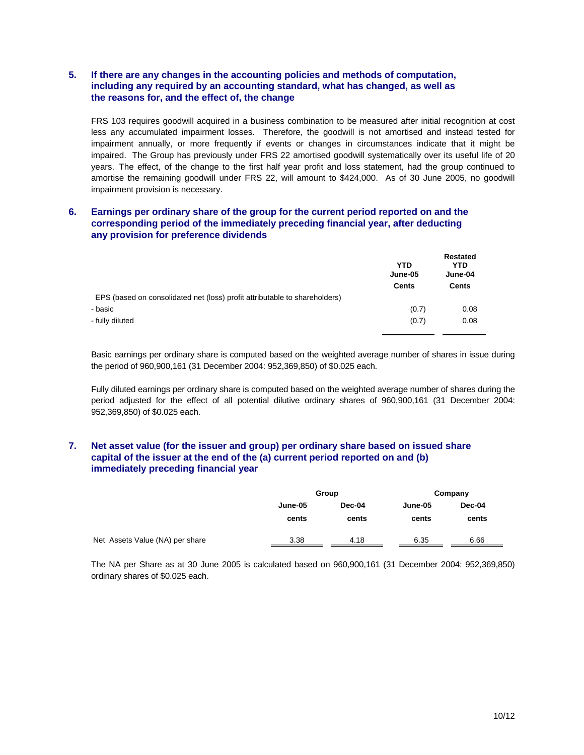# **5. If there are any changes in the accounting policies and methods of computation, including any required by an accounting standard, what has changed, as well as the reasons for, and the effect of, the change**

FRS 103 requires goodwill acquired in a business combination to be measured after initial recognition at cost less any accumulated impairment losses. Therefore, the goodwill is not amortised and instead tested for impairment annually, or more frequently if events or changes in circumstances indicate that it might be impaired. The Group has previously under FRS 22 amortised goodwill systematically over its useful life of 20 years. The effect, of the change to the first half year profit and loss statement, had the group continued to amortise the remaining goodwill under FRS 22, will amount to \$424,000. As of 30 June 2005, no goodwill impairment provision is necessary.

## **6. Earnings per ordinary share of the group for the current period reported on and the corresponding period of the immediately preceding financial year, after deducting any provision for preference dividends**

|                                                                            | <b>YTD</b><br>June-05 | <b>Restated</b><br>YTD<br>June-04 |
|----------------------------------------------------------------------------|-----------------------|-----------------------------------|
|                                                                            | <b>Cents</b>          | Cents                             |
| EPS (based on consolidated net (loss) profit attributable to shareholders) |                       |                                   |
| - basic                                                                    | (0.7)                 | 0.08                              |
| - fully diluted                                                            | (0.7)                 | 0.08                              |
|                                                                            |                       |                                   |

Basic earnings per ordinary share is computed based on the weighted average number of shares in issue during the period of 960,900,161 (31 December 2004: 952,369,850) of \$0.025 each.

Fully diluted earnings per ordinary share is computed based on the weighted average number of shares during the period adjusted for the effect of all potential dilutive ordinary shares of 960,900,161 (31 December 2004: 952,369,850) of \$0.025 each.

## **7. Net asset value (for the issuer and group) per ordinary share based on issued share capital of the issuer at the end of the (a) current period reported on and (b) immediately preceding financial year**

|                                 | Group   |        | Company |        |
|---------------------------------|---------|--------|---------|--------|
|                                 | June-05 | Dec-04 | June-05 | Dec-04 |
|                                 | cents   | cents  | cents   | cents  |
| Net Assets Value (NA) per share | 3.38    | 4.18   | 6.35    | 6.66   |

The NA per Share as at 30 June 2005 is calculated based on 960,900,161 (31 December 2004: 952,369,850) ordinary shares of \$0.025 each.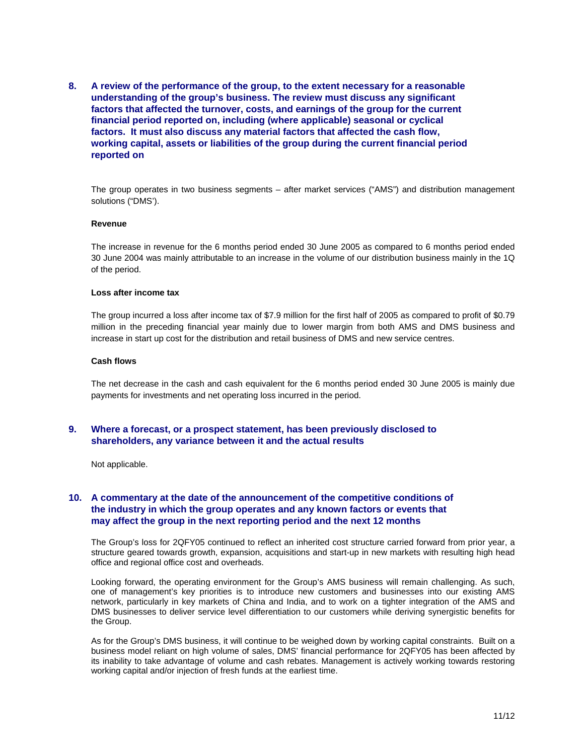**8. A review of the performance of the group, to the extent necessary for a reasonable understanding of the group's business. The review must discuss any significant factors that affected the turnover, costs, and earnings of the group for the current financial period reported on, including (where applicable) seasonal or cyclical factors. It must also discuss any material factors that affected the cash flow, working capital, assets or liabilities of the group during the current financial period reported on** 

The group operates in two business segments – after market services ("AMS") and distribution management solutions ("DMS').

#### **Revenue**

The increase in revenue for the 6 months period ended 30 June 2005 as compared to 6 months period ended 30 June 2004 was mainly attributable to an increase in the volume of our distribution business mainly in the 1Q of the period.

#### **Loss after income tax**

The group incurred a loss after income tax of \$7.9 million for the first half of 2005 as compared to profit of \$0.79 million in the preceding financial year mainly due to lower margin from both AMS and DMS business and increase in start up cost for the distribution and retail business of DMS and new service centres.

#### **Cash flows**

The net decrease in the cash and cash equivalent for the 6 months period ended 30 June 2005 is mainly due payments for investments and net operating loss incurred in the period.

## **9. Where a forecast, or a prospect statement, has been previously disclosed to shareholders, any variance between it and the actual results**

Not applicable.

## **10. A commentary at the date of the announcement of the competitive conditions of the industry in which the group operates and any known factors or events that may affect the group in the next reporting period and the next 12 months**

The Group's loss for 2QFY05 continued to reflect an inherited cost structure carried forward from prior year, a structure geared towards growth, expansion, acquisitions and start-up in new markets with resulting high head office and regional office cost and overheads.

Looking forward, the operating environment for the Group's AMS business will remain challenging. As such, one of management's key priorities is to introduce new customers and businesses into our existing AMS network, particularly in key markets of China and India, and to work on a tighter integration of the AMS and DMS businesses to deliver service level differentiation to our customers while deriving synergistic benefits for the Group.

As for the Group's DMS business, it will continue to be weighed down by working capital constraints. Built on a business model reliant on high volume of sales, DMS' financial performance for 2QFY05 has been affected by its inability to take advantage of volume and cash rebates. Management is actively working towards restoring working capital and/or injection of fresh funds at the earliest time.